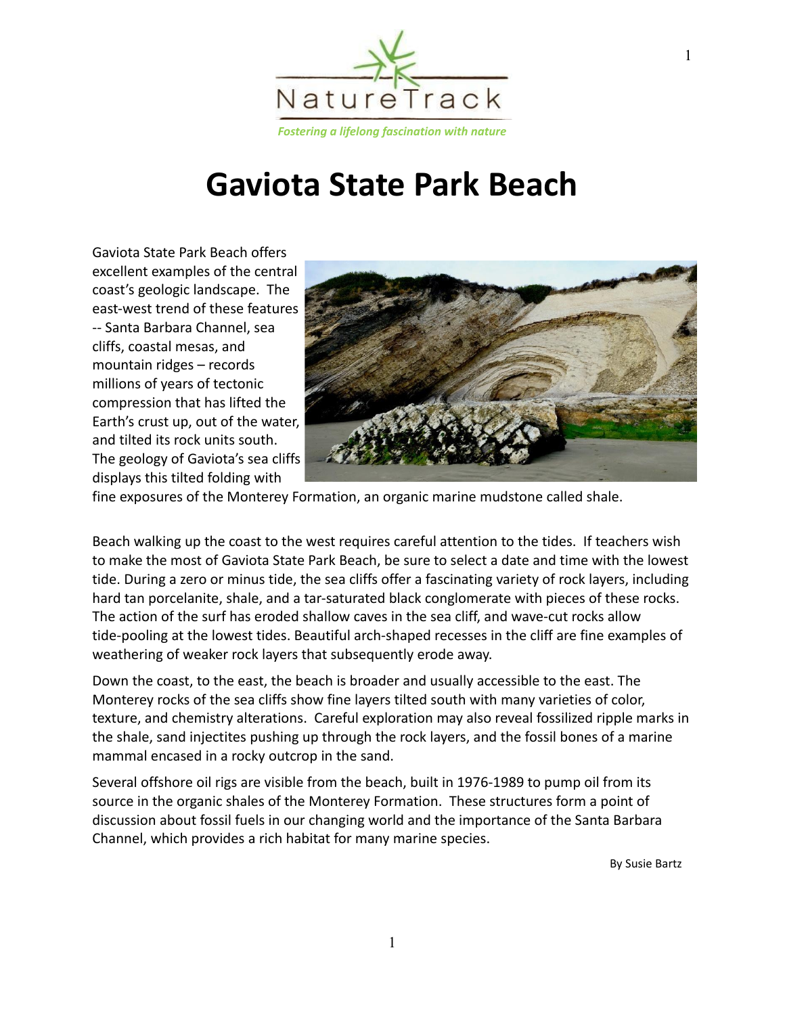

## **Gaviota State Park Beach**

Gaviota State Park Beach offers excellent examples of the central coast's geologic landscape. The east-west trend of these features -- Santa Barbara Channel, sea cliffs, coastal mesas, and mountain ridges – records millions of years of tectonic compression that has lifted the Earth's crust up, out of the water, and tilted its rock units south. The geology of Gaviota's sea cliffs displays this tilted folding with



fine exposures of the Monterey Formation, an organic marine mudstone called shale.

Beach walking up the coast to the west requires careful attention to the tides. If teachers wish to make the most of Gaviota State Park Beach, be sure to select a date and time with the lowest tide. During a zero or minus tide, the sea cliffs offer a fascinating variety of rock layers, including hard tan porcelanite, shale, and a tar-saturated black conglomerate with pieces of these rocks. The action of the surf has eroded shallow caves in the sea cliff, and wave-cut rocks allow tide-pooling at the lowest tides. Beautiful arch-shaped recesses in the cliff are fine examples of weathering of weaker rock layers that subsequently erode away.

Down the coast, to the east, the beach is broader and usually accessible to the east. The Monterey rocks of the sea cliffs show fine layers tilted south with many varieties of color, texture, and chemistry alterations. Careful exploration may also reveal fossilized ripple marks in the shale, sand injectites pushing up through the rock layers, and the fossil bones of a marine mammal encased in a rocky outcrop in the sand.

Several offshore oil rigs are visible from the beach, built in 1976-1989 to pump oil from its source in the organic shales of the Monterey Formation. These structures form a point of discussion about fossil fuels in our changing world and the importance of the Santa Barbara Channel, which provides a rich habitat for many marine species.

By Susie Bartz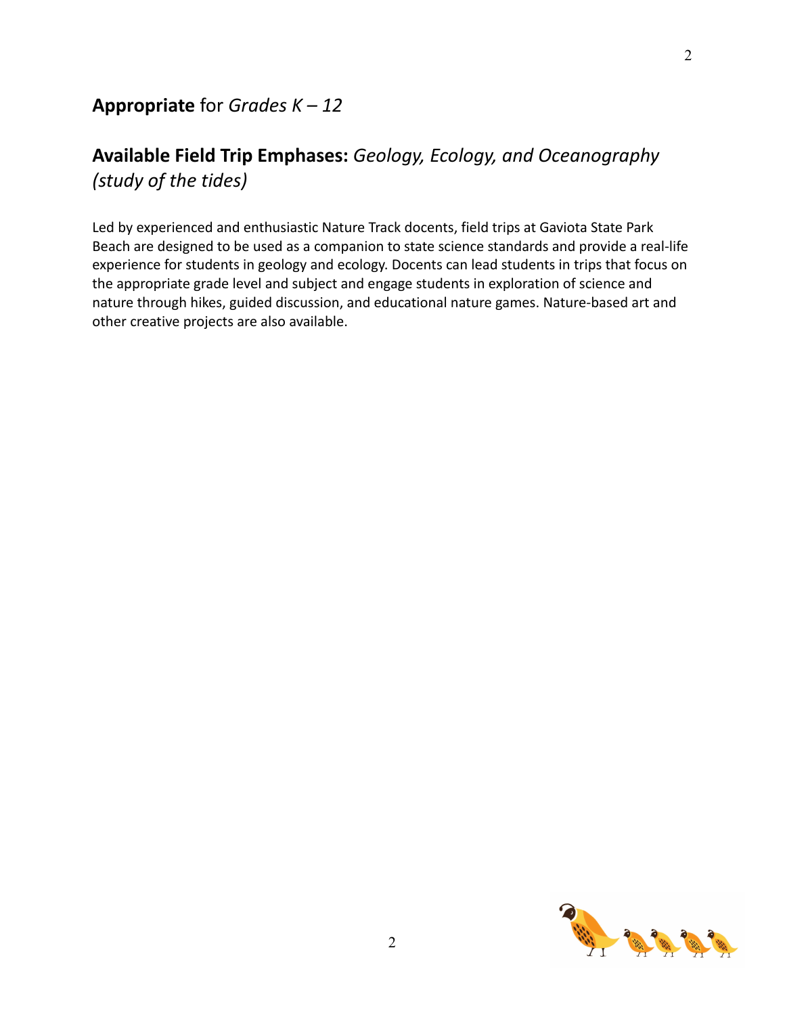## **Available Field Trip Emphases:** *Geology, Ecology, and Oceanography (study of the tides)*

Led by experienced and enthusiastic Nature Track docents, field trips at Gaviota State Park Beach are designed to be used as a companion to state science standards and provide a real-life experience for students in geology and ecology. Docents can lead students in trips that focus on the appropriate grade level and subject and engage students in exploration of science and nature through hikes, guided discussion, and educational nature games. Nature-based art and other creative projects are also available.

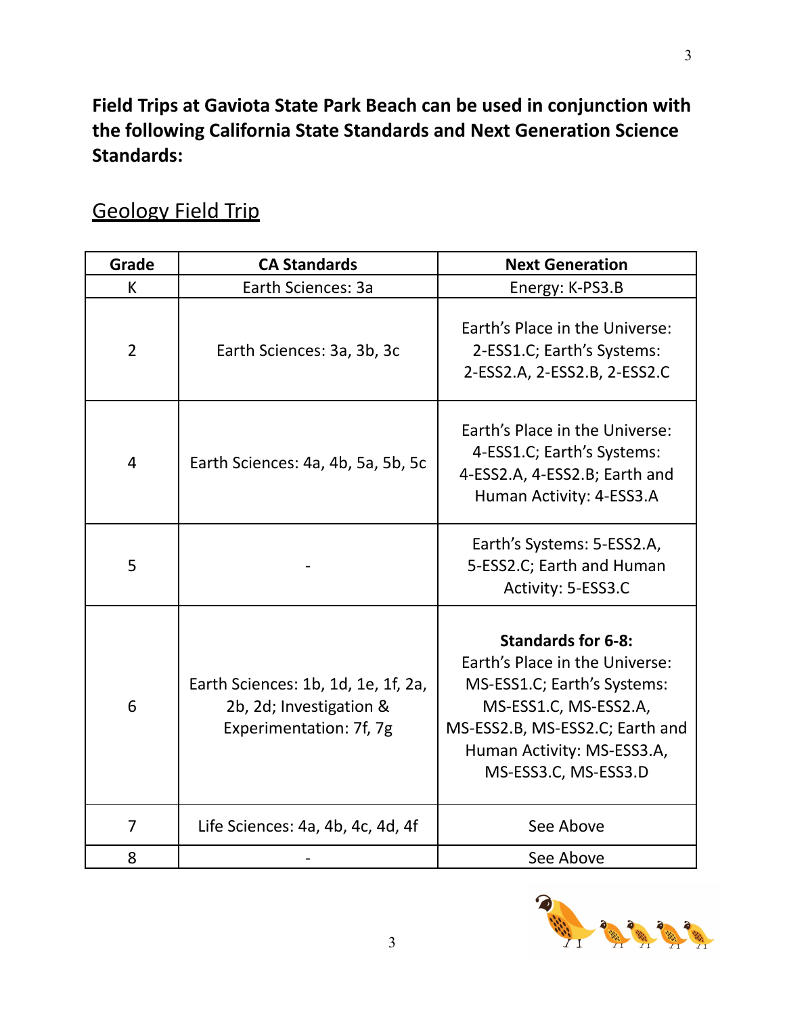**Field Trips at Gaviota State Park Beach can be used in conjunction with the following California State Standards and Next Generation Science Standards:**

| Grade          | <b>CA Standards</b>                                                                       | <b>Next Generation</b>                                                                                                                                                                                       |
|----------------|-------------------------------------------------------------------------------------------|--------------------------------------------------------------------------------------------------------------------------------------------------------------------------------------------------------------|
| K              | Earth Sciences: 3a                                                                        | Energy: K-PS3.B                                                                                                                                                                                              |
| $\overline{2}$ | Earth Sciences: 3a, 3b, 3c                                                                | Earth's Place in the Universe:<br>2-ESS1.C; Earth's Systems:<br>2-ESS2.A, 2-ESS2.B, 2-ESS2.C                                                                                                                 |
| 4              | Earth Sciences: 4a, 4b, 5a, 5b, 5c                                                        | Earth's Place in the Universe:<br>4-ESS1.C; Earth's Systems:<br>4-ESS2.A, 4-ESS2.B; Earth and<br>Human Activity: 4-ESS3.A                                                                                    |
| 5              |                                                                                           | Earth's Systems: 5-ESS2.A,<br>5-ESS2.C; Earth and Human<br>Activity: 5-ESS3.C                                                                                                                                |
| 6              | Earth Sciences: 1b, 1d, 1e, 1f, 2a,<br>2b, 2d; Investigation &<br>Experimentation: 7f, 7g | <b>Standards for 6-8:</b><br>Earth's Place in the Universe:<br>MS-ESS1.C; Earth's Systems:<br>MS-ESS1.C, MS-ESS2.A,<br>MS-ESS2.B, MS-ESS2.C; Earth and<br>Human Activity: MS-ESS3.A,<br>MS-ESS3.C, MS-ESS3.D |
| $\overline{7}$ | Life Sciences: 4a, 4b, 4c, 4d, 4f                                                         | See Above                                                                                                                                                                                                    |
| 8              |                                                                                           | See Above                                                                                                                                                                                                    |

## Geology Field Trip